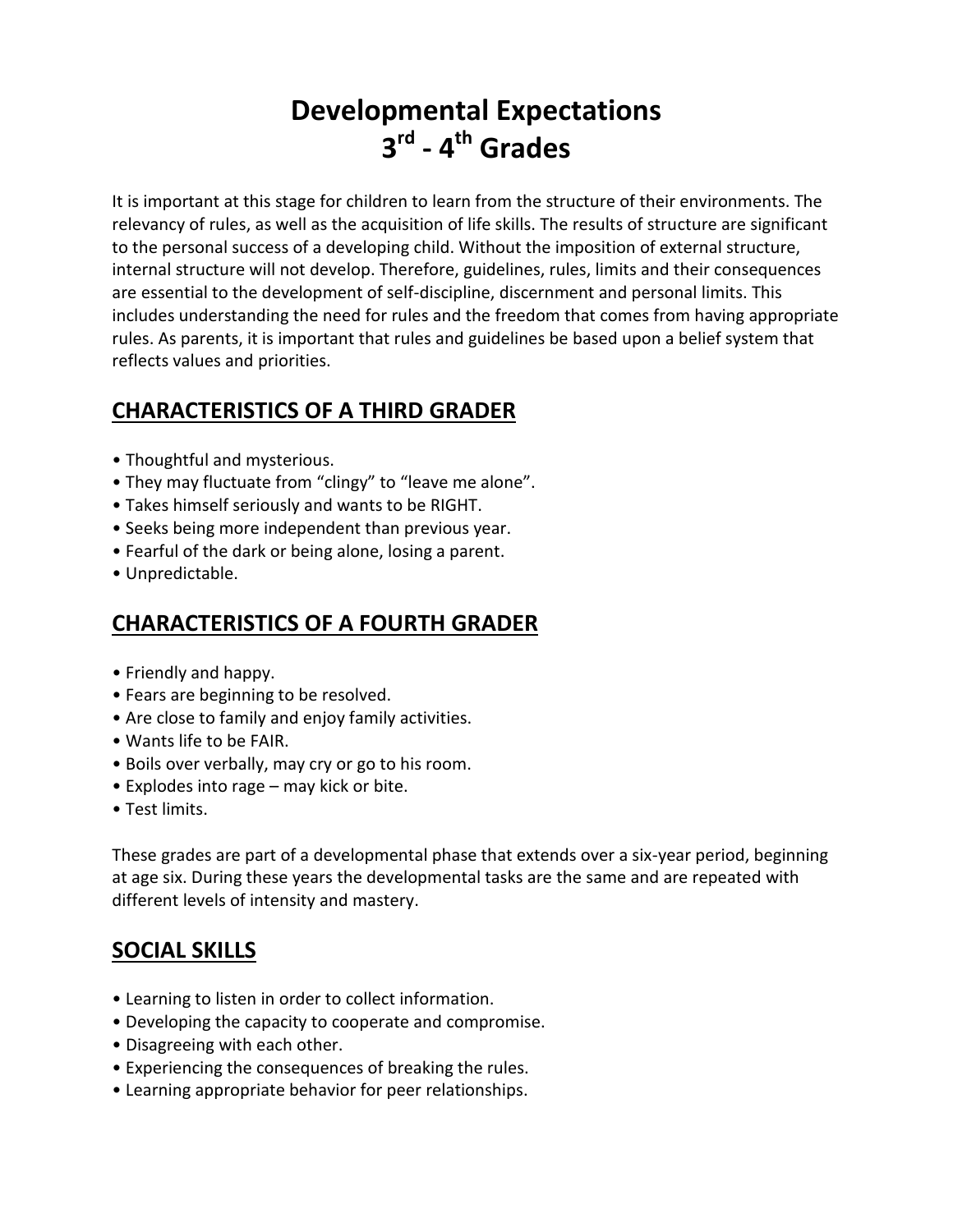# **Developmental Expectations 3 rd - 4 th Grades**

It is important at this stage for children to learn from the structure of their environments. The relevancy of rules, as well as the acquisition of life skills. The results of structure are significant to the personal success of a developing child. Without the imposition of external structure, internal structure will not develop. Therefore, guidelines, rules, limits and their consequences are essential to the development of self-discipline, discernment and personal limits. This includes understanding the need for rules and the freedom that comes from having appropriate rules. As parents, it is important that rules and guidelines be based upon a belief system that reflects values and priorities.

#### **CHARACTERISTICS OF A THIRD GRADER**

- Thoughtful and mysterious.
- They may fluctuate from "clingy" to "leave me alone".
- Takes himself seriously and wants to be RIGHT.
- Seeks being more independent than previous year.
- Fearful of the dark or being alone, losing a parent.
- Unpredictable.

## **CHARACTERISTICS OF A FOURTH GRADER**

- Friendly and happy.
- Fears are beginning to be resolved.
- Are close to family and enjoy family activities.
- Wants life to be FAIR.
- Boils over verbally, may cry or go to his room.
- Explodes into rage may kick or bite.
- Test limits.

These grades are part of a developmental phase that extends over a six-year period, beginning at age six. During these years the developmental tasks are the same and are repeated with different levels of intensity and mastery.

#### **SOCIAL SKILLS**

- Learning to listen in order to collect information.
- Developing the capacity to cooperate and compromise.
- Disagreeing with each other.
- Experiencing the consequences of breaking the rules.
- Learning appropriate behavior for peer relationships.